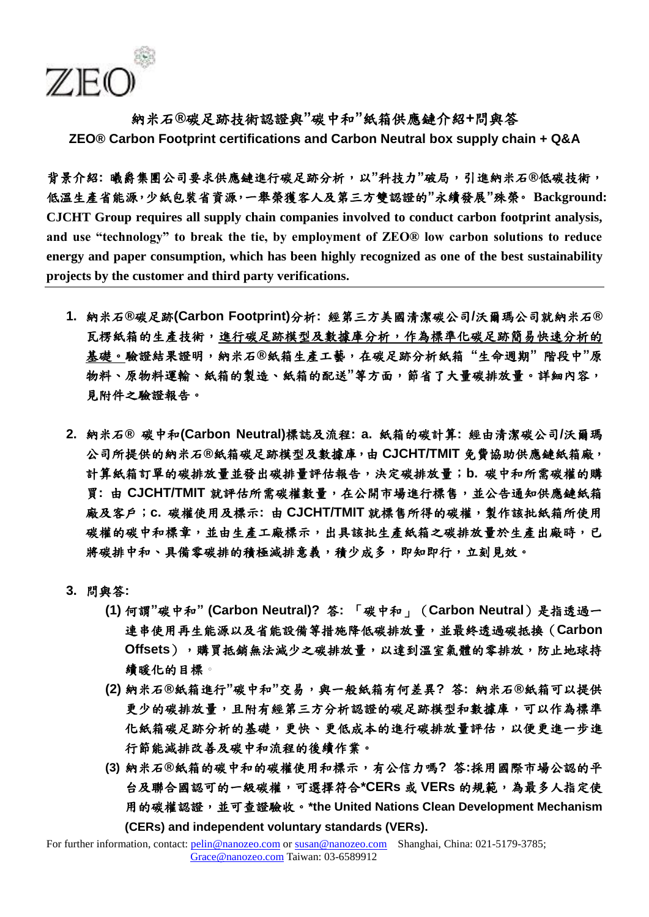

納米石**®** 碳足跡技術認證與**"**碳中和**"**紙箱供應鏈介紹**+**問與答 **ZEO® Carbon Footprint certifications and Carbon Neutral box supply chain + Q&A**

背景介紹**:** 曦爵集團公司要求供應鏈進行碳足跡分析,以**"**科技力**"**破局,引進納米石**®** 低碳技術, 低溫生產省能源,少紙包裝省資源,一舉榮獲客人及第三方雙認證的**"**永續發展**"**殊榮。 **Background: CJCHT Group requires all supply chain companies involved to conduct carbon footprint analysis, and use "technology" to break the tie, by employment of ZEO® low carbon solutions to reduce energy and paper consumption, which has been highly recognized as one of the best sustainability projects by the customer and third party verifications.**

- **1.** 納米石**®** 碳足跡**(Carbon Footprint)**分析**:** 經第三方美國清潔碳公司**/**沃爾瑪公司就納米石**®** 瓦楞紙箱的生產技術,進行碳足跡模型及數據庫分析,作為標準化碳足跡簡易快速分析的 基礎。驗證結果證明,納米石**®** 紙箱生產工藝,在碳足跡分析紙箱 **"**生命週期**"** 階段中**"**原 物料、原物料運輸、紙箱的製造、紙箱的配送**"**等方面,節省了大量碳排放量。詳細內容, 見附件之驗證報告。
- **2.** 納米石**®** 碳中和**(Carbon Neutral)**標誌及流程**: a.** 紙箱的碳計算**:** 經由清潔碳公司**/**沃爾瑪 公司所提供的納米石**®** 紙箱碳足跡模型及數據庫,由 **CJCHT/TMIT** 免費協助供應鏈紙箱廠, 計算紙箱訂單的碳排放量並發出碳排量評估報告,決定碳排放量;**b.** 碳中和所需碳權的購 買**:** 由 **CJCHT/TMIT** 就評估所需碳權數量,在公開市場進行標售,並公告通知供應鏈紙箱 廠及客戶;**c.** 碳權使用及標示**:** 由 **CJCHT/TMIT** 就標售所得的碳權,製作該批紙箱所使用 碳權的碳中和標章,並由生產工廠標示,出具該批生產紙箱之碳排放量於生產出廠時,已 將碳排中和、具備零碳排的積極減排意義,積少成多,即知即行,立刻見效。
- **3.** 問與答**:**
	- **(1)** 何謂**"**碳中和**" (Carbon Neutral)?** 答**:** 「碳中和」(**Carbon Neutral**)是指透過一 連串使用再生能源以及省能設備等措施降低碳排放量,並最終透過碳抵換(**Carbon Offsets**),購買抵銷無法減少之碳排放量,以達到溫室氣體的零排放,防止地球持 續暖化的目標。
	- **(2)** 納米石**®** 紙箱進行**"**碳中和**"**交易,與一般紙箱有何差異**?** 答**:** 納米石**®** 紙箱可以提供 更少的碳排放量,且附有經第三方分析認證的碳足跡模型和數據庫,可以作為標準 化紙箱碳足跡分析的基礎,更快、更低成本的進行碳排放量評估,以便更進一步進 行節能減排改善及碳中和流程的後續作業。
	- **(3)** 納米石**®** 紙箱的碳中和的碳權使用和標示,有公信力嗎**?** 答**:**採用國際市場公認的平 台及聯合國認可的一級碳權,可選擇符合**\*CERs** 或 **VERs** 的規範,為最多人指定使 用的碳權認證,並可查證驗收。**\*the United Nations Clean Development Mechanism (CERs) and independent voluntary standards (VERs).**

For further information, contact: pelin@nanozeo.com or susan@nanozeo.com Shanghai, China: 021-5179-3785; Grace@nanozeo.com Taiwan: 03-6589912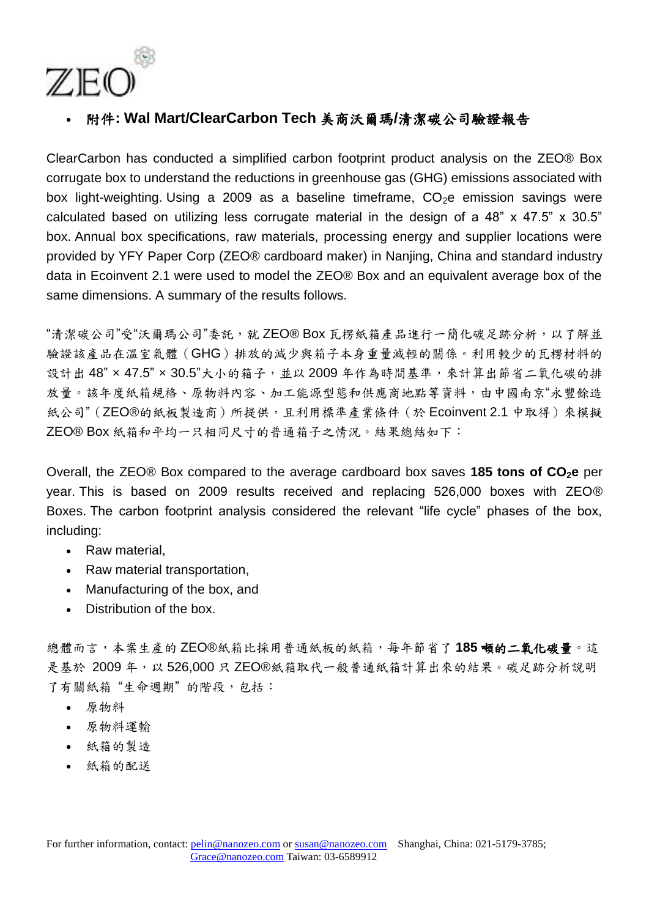

附件**: Wal Mart/ClearCarbon Tech** 美商沃爾瑪**/**清潔碳公司驗證報告

ClearCarbon has conducted a simplified carbon footprint product analysis on the ZEO® Box corrugate box to understand the reductions in greenhouse gas (GHG) emissions associated with box light-weighting. Using a 2009 as a baseline timeframe.  $CO<sub>2</sub>e$  emission savings were calculated based on utilizing less corrugate material in the design of a 48" x 47.5" x 30.5" box. Annual box specifications, raw materials, processing energy and supplier locations were provided by YFY Paper Corp (ZEO® cardboard maker) in Nanjing, China and standard industry data in Ecoinvent 2.1 were used to model the ZEO® Box and an equivalent average box of the same dimensions. A summary of the results follows.

"清潔碳公司"受"沃爾瑪公司"委託,就 ZEO® Box 瓦楞紙箱產品進行一簡化碳足跡分析,以了解並 驗證該產品在溫室氣體(GHG)排放的減少與箱子本身重量減輕的關係。利用較少的瓦楞材料的 設計出 48" x 47.5" x 30.5"大小的箱子,並以 2009年作為時間基準,來計算出節省二氧化碳的排 放量。該年度紙箱規格、原物料內容、加工能源型態和供應商地點等資料,由中國南京"永豐餘造 紙公司"(ZEO®的紙板製造商)所提供,且利用標準產業條件(於Ecoinvent 2.1 中取得)來模擬 ZEO® Box 紙箱和平均一只相同尺寸的普通箱子之情況。結果總結如下:

Overall, the ZEO® Box compared to the average cardboard box saves **185 tons of CO2e** per year. This is based on 2009 results received and replacing 526,000 boxes with ZEO® Boxes. The carbon footprint analysis considered the relevant "life cycle" phases of the box, including:

- Raw material,
- Raw material transportation,
- Manufacturing of the box, and
- Distribution of the box.

總體而言,本案生產的ZEO®紙箱比採用普通紙板的紙箱,每年節省了185 頓的二氧化碳量。這 是基於 2009年,以 526,000只 ZEO®紙箱取代一般普通紙箱計算出來的結果。碳足跡分析說明 了有關紙箱"生命週期"的階段,包括:

- 原物料
- 原物料運輸
- 紙箱的製造
- 紙箱的配送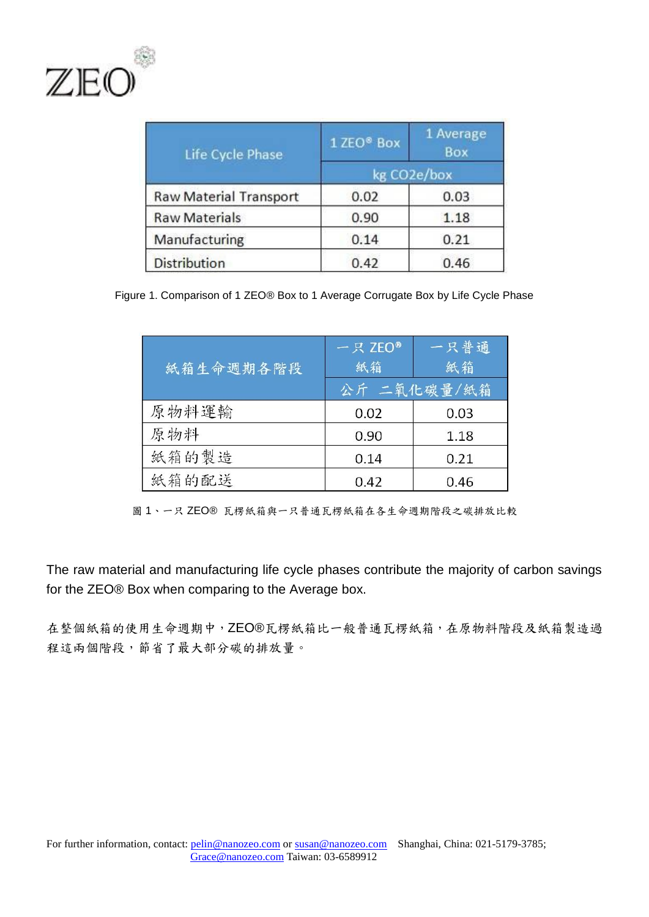

| Life Cycle Phase              | 1 ZEO <sup>®</sup> Box | 1 Average<br>Box |
|-------------------------------|------------------------|------------------|
|                               | kg CO2e/box            |                  |
| <b>Raw Material Transport</b> | 0.02                   | 0.03             |
| <b>Raw Materials</b>          | 0.90                   | 1.18             |
| Manufacturing                 | 0.14                   | 0.21             |
| <b>Distribution</b>           | 0.42                   | 0.46             |

Figure 1. Comparison of 1 ZEO® Box to 1 Average Corrugate Box by Life Cycle Phase

| 紙箱生命週期各階段 | 一只 ZEO®<br>紙箱 | 一只普通<br>紙箱 |
|-----------|---------------|------------|
|           | 公斤 二氧化碳量/紙箱   |            |
| 原物料運輸     | 0.02          | 0.03       |
| 原物料       | 0.90          | 1.18       |
| 紙箱的製造     | 0.14          | 0.21       |
| 紙箱的配送     | 0.42          | 0.46       |

圖 1、一只 ZEO® 瓦楞紙箱與一只普通瓦楞紙箱在各生命週期階段之碳排放比較

The raw material and manufacturing life cycle phases contribute the majority of carbon savings for the ZEO® Box when comparing to the Average box.

在整個紙箱的使用生命週期中,ZEO® 瓦楞紙箱比一般普通瓦楞紙箱,在原物料階段及紙箱製造過 程這兩個階段,節省了最大部分碳的排放量。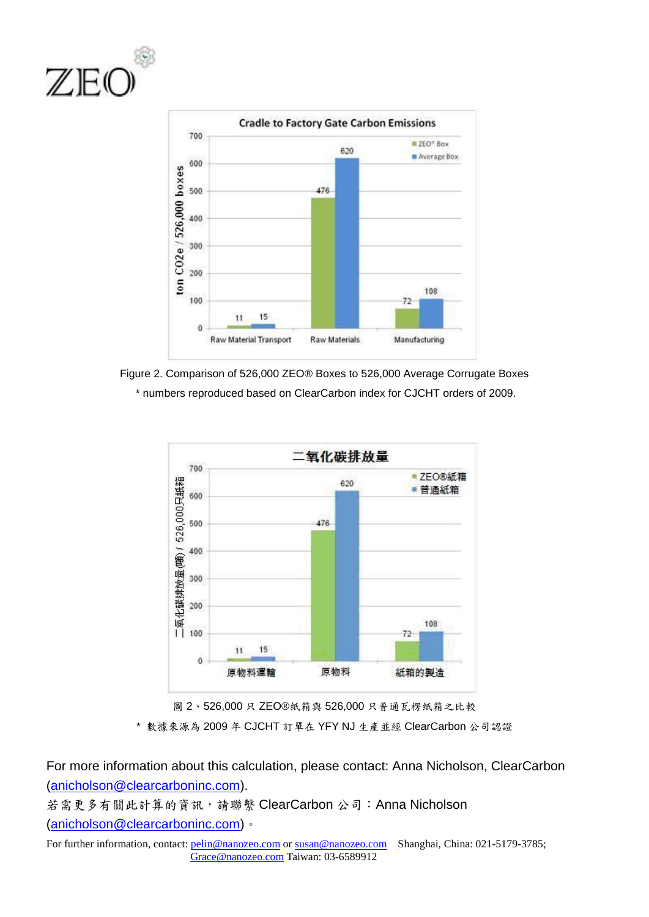







圖 2、526,000只 ZEO®紙箱與 526,000只普通瓦楞紙箱之比較 \* 數據來源為 2009 年 CJCHT 訂單在 YFY NJ 生產並經 ClearCarbon 公司認證

For more information about this calculation, please contact: Anna Nicholson, ClearCarbon [\(anicholson@clearcarboninc.com\)](mailto:anicholson@clearcarboninc.com).

若需更多有關此計算的資訊,請聯繫 ClearCarbon 公司:Anna Nicholson [\(anicholson@clearcarboninc.com\)](mailto:anicholson@clearcarboninc.com)。

For further information, contact: pelin@nanozeo.com or susan@nanozeo.com Shanghai, China: 021-5179-3785; Grace@nanozeo.com Taiwan: 03-6589912